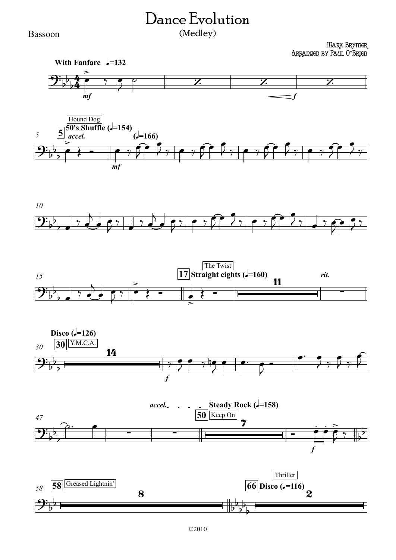## Dance Evolution (Medley)

## Bassoon

Mark Brymer Arranged by Paul O**'**Brien











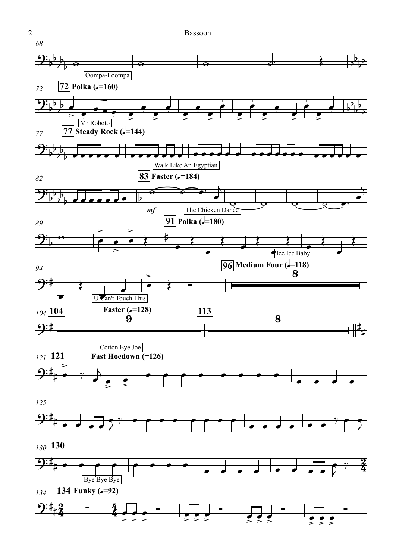